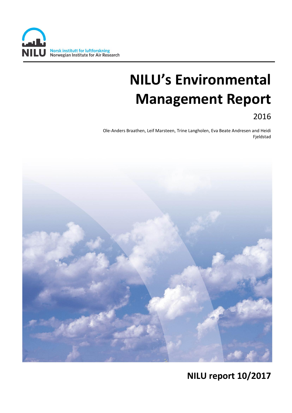

# **NILU's Environmental Management Report**

2016

Ole-Anders Braathen, Leif Marsteen, Trine Langholen, Eva Beate Andresen and Heidi Fjeldstad



# **NILU report 10/2017**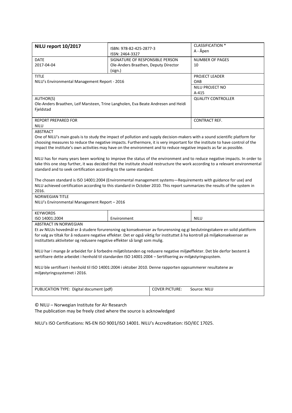| NILU report 10/2017                                                                                                             |                                            |                       | <b>CLASSIFICATION *</b>   |  |  |  |
|---------------------------------------------------------------------------------------------------------------------------------|--------------------------------------------|-----------------------|---------------------------|--|--|--|
|                                                                                                                                 | ISBN: 978-82-425-2877-3<br>ISSN: 2464-3327 |                       | A - Åpen                  |  |  |  |
| DATE                                                                                                                            | SIGNATURE OF RESPONSIBLE PERSON            |                       | <b>NUMBER OF PAGES</b>    |  |  |  |
| 2017-04-04                                                                                                                      | Ole-Anders Braathen, Deputy Director       |                       | 10                        |  |  |  |
|                                                                                                                                 | (sign.)                                    |                       |                           |  |  |  |
| <b>TITLE</b>                                                                                                                    |                                            |                       | PROJECT LEADER            |  |  |  |
| NILU's Environmental Management Report - 2016                                                                                   |                                            |                       | OAB                       |  |  |  |
|                                                                                                                                 |                                            |                       | NILU PROJECT NO           |  |  |  |
|                                                                                                                                 |                                            |                       | A-415                     |  |  |  |
| AUTHOR(S)                                                                                                                       |                                            |                       | <b>QUALITY CONTROLLER</b> |  |  |  |
| Ole-Anders Braathen, Leif Marsteen, Trine Langholen, Eva Beate Andresen and Heidi                                               |                                            |                       |                           |  |  |  |
| Fjeldstad                                                                                                                       |                                            |                       |                           |  |  |  |
|                                                                                                                                 |                                            |                       |                           |  |  |  |
| <b>REPORT PREPARED FOR</b>                                                                                                      |                                            |                       | <b>CONTRACT REF.</b>      |  |  |  |
| <b>NILU</b><br><b>ABSTRACT</b>                                                                                                  |                                            |                       |                           |  |  |  |
| One of NILU's main goals is to study the impact of pollution and supply decision-makers with a sound scientific platform for    |                                            |                       |                           |  |  |  |
| choosing measures to reduce the negative impacts. Furthermore, it is very important for the institute to have control of the    |                                            |                       |                           |  |  |  |
| impact the institute's own activities may have on the environment and to reduce negative impacts as far as possible.            |                                            |                       |                           |  |  |  |
|                                                                                                                                 |                                            |                       |                           |  |  |  |
| NILU has for many years been working to improve the status of the environment and to reduce negative impacts. In order to       |                                            |                       |                           |  |  |  |
| take this one step further, it was decided that the institute should restructure the work according to a relevant environmental |                                            |                       |                           |  |  |  |
| standard and to seek certification according to the same standard.                                                              |                                            |                       |                           |  |  |  |
|                                                                                                                                 |                                            |                       |                           |  |  |  |
| The chosen standard is ISO 14001:2004 (Environmental management systems-Requirements with guidance for use) and                 |                                            |                       |                           |  |  |  |
| NILU achieved certification according to this standard in October 2010. This report summarizes the results of the system in     |                                            |                       |                           |  |  |  |
| 2016.                                                                                                                           |                                            |                       |                           |  |  |  |
| <b>NORWEGIAN TITLE</b>                                                                                                          |                                            |                       |                           |  |  |  |
| NILU's Environmental Management Report - 2016                                                                                   |                                            |                       |                           |  |  |  |
| <b>KEYWORDS</b>                                                                                                                 |                                            |                       |                           |  |  |  |
| ISO 14001:2004                                                                                                                  | Environment                                |                       | <b>NILU</b>               |  |  |  |
| <b>ABSTRACT IN NORWEGIAN</b>                                                                                                    |                                            |                       |                           |  |  |  |
| Et av NILUs hovedmål er å studere forurensning og konsekvenser av forurensning og gi beslutningstakere en solid plattform       |                                            |                       |                           |  |  |  |
| for valg av tiltak for å redusere negative effekter. Det er også viktig for instituttet å ha kontroll på miljøkonsekvenser av   |                                            |                       |                           |  |  |  |
| instituttets aktiviteter og redusere negative effekter så langt som mulig.                                                      |                                            |                       |                           |  |  |  |
|                                                                                                                                 |                                            |                       |                           |  |  |  |
| NILU har i mange år arbeidet for å forbedre miljøtilstanden og redusere negative miljøeffekter. Det ble derfor bestemt å        |                                            |                       |                           |  |  |  |
| sertifisere dette arbeidet i henhold til standarden ISO 14001:2004 - Sertifisering av miljøstyringssystem.                      |                                            |                       |                           |  |  |  |
|                                                                                                                                 |                                            |                       |                           |  |  |  |
| NILU ble sertifisert i henhold til ISO 14001:2004 i oktober 2010. Denne rapporten oppsummerer resultatene av                    |                                            |                       |                           |  |  |  |
| miljøstyringssystemet i 2016.                                                                                                   |                                            |                       |                           |  |  |  |
|                                                                                                                                 |                                            |                       |                           |  |  |  |
|                                                                                                                                 |                                            |                       |                           |  |  |  |
| PUBLICATION TYPE: Digital document (pdf)                                                                                        |                                            | <b>COVER PICTURE:</b> | Source: NILU              |  |  |  |
|                                                                                                                                 |                                            |                       |                           |  |  |  |

© NILU – Norwegian Institute for Air Research

The publication may be freely cited where the source is acknowledged

NILU's ISO Certifications: NS-EN ISO 9001/ISO 14001. NILU's Accreditation: ISO/IEC 17025.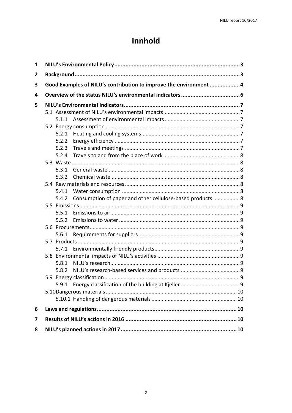# Innhold

| 1 |                                                                   |       |                                                            |  |  |  |
|---|-------------------------------------------------------------------|-------|------------------------------------------------------------|--|--|--|
| 2 |                                                                   |       |                                                            |  |  |  |
| 3 | Good Examples of NILU's contribution to improve the environment 4 |       |                                                            |  |  |  |
| 4 |                                                                   |       |                                                            |  |  |  |
| 5 |                                                                   |       |                                                            |  |  |  |
|   |                                                                   |       |                                                            |  |  |  |
|   |                                                                   |       |                                                            |  |  |  |
|   |                                                                   |       |                                                            |  |  |  |
|   |                                                                   | 5.2.1 |                                                            |  |  |  |
|   |                                                                   | 5.2.2 |                                                            |  |  |  |
|   |                                                                   | 5.2.3 |                                                            |  |  |  |
|   |                                                                   | 5.2.4 |                                                            |  |  |  |
|   |                                                                   |       |                                                            |  |  |  |
|   |                                                                   | 5.3.1 |                                                            |  |  |  |
|   |                                                                   | 5.3.2 |                                                            |  |  |  |
|   |                                                                   |       |                                                            |  |  |  |
|   |                                                                   | 5.4.1 |                                                            |  |  |  |
|   |                                                                   | 5.4.2 | Consumption of paper and other cellulose-based products  8 |  |  |  |
|   |                                                                   |       |                                                            |  |  |  |
|   |                                                                   | 5.5.1 |                                                            |  |  |  |
|   |                                                                   |       |                                                            |  |  |  |
|   |                                                                   |       |                                                            |  |  |  |
|   |                                                                   |       |                                                            |  |  |  |
|   |                                                                   |       |                                                            |  |  |  |
|   |                                                                   |       |                                                            |  |  |  |
|   |                                                                   |       |                                                            |  |  |  |
|   |                                                                   | 5.8.1 |                                                            |  |  |  |
|   |                                                                   | 5.8.2 |                                                            |  |  |  |
|   |                                                                   |       |                                                            |  |  |  |
|   |                                                                   |       |                                                            |  |  |  |
|   |                                                                   |       |                                                            |  |  |  |
|   |                                                                   |       |                                                            |  |  |  |
| 6 |                                                                   |       |                                                            |  |  |  |
| 7 |                                                                   |       |                                                            |  |  |  |
| 8 |                                                                   |       |                                                            |  |  |  |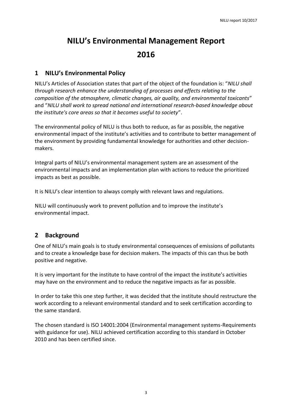# **NILU's Environmental Management Report 2016**

### <span id="page-3-0"></span>**1 NILU's Environmental Policy**

NILU's Articles of Association states that part of the object of the foundation is: "*NILU shall through research enhance the understanding of processes and effects relating to the composition of the atmosphere, climatic changes, air quality, and environmental toxicants*" and "*NILU shall work to spread national and international research-based knowledge about the institute's core areas so that it becomes useful to society*".

The environmental policy of NILU is thus both to reduce, as far as possible, the negative environmental impact of the institute's activities and to contribute to better management of the environment by providing fundamental knowledge for authorities and other decisionmakers.

Integral parts of NILU's environmental management system are an assessment of the environmental impacts and an implementation plan with actions to reduce the prioritized impacts as best as possible.

It is NILU's clear intention to always comply with relevant laws and regulations.

NILU will continuously work to prevent pollution and to improve the institute's environmental impact.

### <span id="page-3-1"></span>**2 Background**

One of NILU's main goals is to study environmental consequences of emissions of pollutants and to create a knowledge base for decision makers. The impacts of this can thus be both positive and negative.

It is very important for the institute to have control of the impact the institute's activities may have on the environment and to reduce the negative impacts as far as possible.

In order to take this one step further, it was decided that the institute should restructure the work according to a relevant environmental standard and to seek certification according to the same standard.

The chosen standard is ISO 14001:2004 (Environmental management systems-Requirements with guidance for use). NILU achieved certification according to this standard in October 2010 and has been certified since.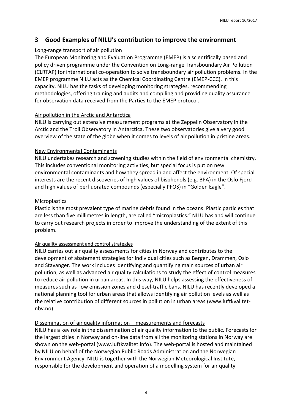### <span id="page-4-0"></span>**3 Good Examples of NILU's contribution to improve the environment**

#### Long-range transport of air pollution

The European Monitoring and Evaluation Programme (EMEP) is a scientifically based and policy driven programme under the Convention on Long-range Transboundary Air Pollution (CLRTAP) for international co-operation to solve transboundary air pollution problems. In the EMEP programme NILU acts as the Chemical Coordinating Centre (EMEP-CCC). In this capacity, NILU has the tasks of developing monitoring strategies, recommending methodologies, offering training and audits and compiling and providing quality assurance for observation data received from the Parties to the EMEP protocol.

#### Air pollution in the Arctic and Antarctica

NILU is carrying out extensive measurement programs at the Zeppelin Observatory in the Arctic and the Troll Observatory in Antarctica. These two observatories give a very good overview of the state of the globe when it comes to levels of air pollution in pristine areas.

#### New Environmental Contaminants

NILU undertakes research and screening studies within the field of environmental chemistry. This includes conventional monitoring activities, but special focus is put on new environmental contaminants and how they spread in and affect the environment. Of special interests are the recent discoveries of high values of bisphenols (e.g. BPA) in the Oslo Fjord and high values of perfluorated compounds (especially PFOS) in "Golden Eagle".

#### Microplastics

Plastic is the most prevalent type of marine debris found in the oceans. Plastic particles that are less than five millimetres in length, are called "microplastics." NILU has and will continue to carry out research projects in order to improve the understanding of the extent of this problem.

#### Air quality assessment and control strategies

NILU carries out air quality assessments for cities in Norway and contributes to the development of abatement strategies for individual cities such as Bergen, Drammen, Oslo and Stavanger. The work includes identifying and quantifying main sources of urban air pollution, as well as advanced air quality calculations to study the effect of control measures to reduce air pollution in urban areas. In this way, NILU helps assessing the effectiveness of measures such as low emission zones and diesel-traffic bans. NILU has recently developed a national planning tool for urban areas that allows identifying air pollution levels as well as the relative contribution of different sources in pollution in urban areas [\(www.luftkvalitet](http://www.luftkvalitet-nbv.no/)[nbv.no\)](http://www.luftkvalitet-nbv.no/).

#### Dissemination of air quality information – measurements and forecasts

NILU has a key role in the dissemination of air quality information to the public. Forecasts for the largest cities in Norway and on-line data from all the monitoring stations in Norway are shown on the web-portal [\(www.luftkvalitet.info\)](http://www.luftkvalitet.info/). The web-portal is hosted and maintained by NILU on behalf of the Norwegian Public Roads Administration and the Norwegian Environment Agency. NILU is together with the Norwegian Meteorological Institute, responsible for the development and operation of a modelling system for air quality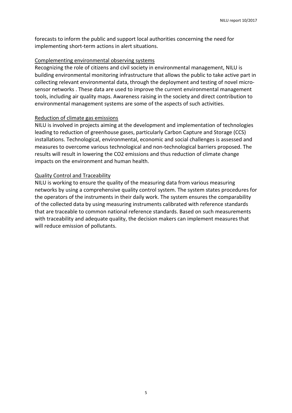forecasts to inform the public and support local authorities concerning the need for implementing short-term actions in alert situations.

#### Complementing environmental observing systems

Recognizing the role of citizens and civil society in environmental management, NILU is building environmental monitoring infrastructure that allows the public to take active part in collecting relevant environmental data, through the deployment and testing of novel microsensor networks . These data are used to improve the current environmental management tools, including air quality maps. Awareness raising in the society and direct contribution to environmental management systems are some of the aspects of such activities.

#### Reduction of climate gas emissions

NILU is involved in projects aiming at the development and implementation of technologies leading to reduction of greenhouse gases, particularly Carbon Capture and Storage (CCS) installations. Technological, environmental, economic and social challenges is assessed and measures to overcome various technological and non-technological barriers proposed. The results will result in lowering the CO2 emissions and thus reduction of climate change impacts on the environment and human health.

#### Quality Control and Traceability

NILU is working to ensure the quality of the measuring data from various measuring networks by using a comprehensive quality control system. The system states procedures for the operators of the instruments in their daily work. The system ensures the comparability of the collected data by using measuring instruments calibrated with reference standards that are traceable to common national reference standards. Based on such measurements with traceability and adequate quality, the decision makers can implement measures that will reduce emission of pollutants.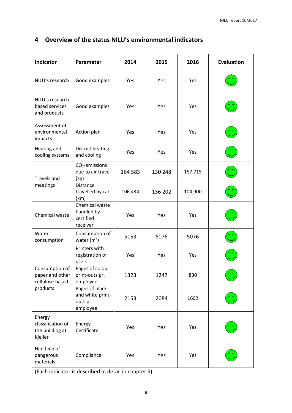| <b>Indicator</b>                                          | Parameter                                                   | 2014    | 2015    | 2016    | <b>Evaluation</b> |
|-----------------------------------------------------------|-------------------------------------------------------------|---------|---------|---------|-------------------|
| NILU's research                                           | Good examples                                               | Yes     | Yes     | Yes     |                   |
| NILU's research<br>based services<br>and products         | Good examples                                               | Yes     | Yes     | Yes     |                   |
| Assessment of<br>environmental<br>impacts                 | Action plan                                                 | Yes     | Yes     | Yes     |                   |
| Heating and<br>cooling systems                            | District heating<br>and cooling                             | Yes     | Yes     | Yes     |                   |
| <b>Travels and</b><br>meetings                            | CO <sub>2</sub> -emissions<br>due to air travel<br>(kg)     | 164 583 | 130 248 | 157 715 |                   |
|                                                           | <b>Distance</b><br>travelled by car<br>(km)                 | 106 434 | 136 202 | 104 900 |                   |
| Chemical waste                                            | Chemical waste<br>handled by<br>certified<br>receiver       | Yes     | Yes     | Yes     |                   |
| Water<br>consumption                                      | Consumption of<br>water $(m^3)$                             | 5153    | 5076    | 5076    |                   |
|                                                           | Printers with<br>registration of<br>users                   | Yes     | Yes     | Yes     |                   |
| Consumption of<br>paper and other<br>cellulose based      | Pages of colour<br>print-outs pr.<br>employee               | 1323    | 1247    | 830     | ۰.                |
| products                                                  | Pages of black-<br>and white print-<br>outs pr.<br>employee | 2153    | 2084    | 1602    |                   |
| Energy<br>classification of<br>the building at<br>Kjeller | Energy<br>Certificate                                       | Yes     | Yes     | Yes     |                   |
| Handling of<br>dangerous<br>materials                     | Compliance                                                  | Yes     | Yes     | Yes     |                   |

## <span id="page-6-0"></span>**4 Overview of the status NILU's environmental indicators**

(Each indicator is described in detail in chapter 5).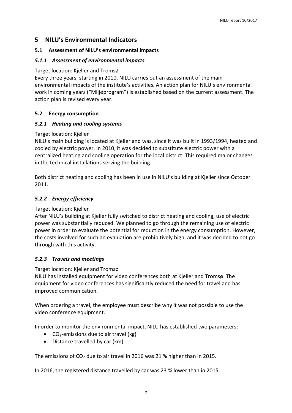#### <span id="page-7-0"></span>**5 NILU's Environmental Indicators**

#### <span id="page-7-1"></span>**5.1 Assessment of NILU's environmental impacts**

#### <span id="page-7-2"></span>*5.1.1 Assessment of environmental impacts*

#### Target location: Kjeller and Tromsø

Every three years, starting in 2010, NILU carries out an assessment of the main environmental impacts of the institute's activities. An action plan for NILU's environmental work in coming years ("Miljøprogram") is established based on the current assessment. The action plan is revised every year.

#### <span id="page-7-3"></span>**5.2 Energy consumption**

#### <span id="page-7-4"></span>*5.2.1 Heating and cooling systems*

#### Target location: Kjeller

NILU's main building is located at Kjeller and was, since it was built in 1993/1994, heated and cooled by electric power. In 2010, it was decided to substitute electric power with a centralized heating and cooling operation for the local district. This required major changes in the technical installations serving the building.

Both district heating and cooling has been in use in NILU's building at Kjeller since October 2011.

#### <span id="page-7-5"></span>*5.2.2 Energy efficiency*

#### Target location: Kjeller

After NILU's building at Kjeller fully switched to district heating and cooling, use of electric power was substantially reduced. We planned to go through the remaining use of electric power in order to evaluate the potential for reduction in the energy consumption. However, the costs involved for such an evaluation are prohibitively high, and it was decided to not go through with this activity.

#### <span id="page-7-6"></span>*5.2.3 Travels and meetings*

#### Target location: Kjeller and Tromsø

NILU has installed equipment for video conferences both at Kjeller and Tromsø. The equipment for video conferences has significantly reduced the need for travel and has improved communication.

When ordering a travel, the employee must describe why it was not possible to use the video conference equipment.

In order to monitor the environmental impact, NILU has established two parameters:

- $\bullet$  CO<sub>2</sub>-emissions due to air travel (kg)
- Distance travelled by car (km)

The emissions of CO<sub>2</sub> due to air travel in 2016 was 21 % higher than in 2015.

In 2016, the registered distance travelled by car was 23 % lower than in 2015.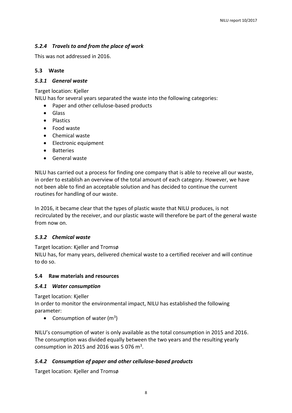#### <span id="page-8-0"></span>*5.2.4 Travels to and from the place of work*

This was not addressed in 2016.

#### <span id="page-8-1"></span>**5.3 Waste**

#### <span id="page-8-2"></span>*5.3.1 General waste*

Target location: Kjeller

NILU has for several years separated the waste into the following categories:

- Paper and other cellulose-based products
- Glass
- Plastics
- Food waste
- Chemical waste
- Electronic equipment
- Batteries
- General waste

NILU has carried out a process for finding one company that is able to receive all our waste, in order to establish an overview of the total amount of each category. However, we have not been able to find an acceptable solution and has decided to continue the current routines for handling of our waste.

In 2016, it became clear that the types of plastic waste that NILU produces, is not recirculated by the receiver, and our plastic waste will therefore be part of the general waste from now on.

#### <span id="page-8-3"></span>*5.3.2 Chemical waste*

Target location: Kjeller and Tromsø

NILU has, for many years, delivered chemical waste to a certified receiver and will continue to do so.

#### <span id="page-8-4"></span>**5.4 Raw materials and resources**

#### <span id="page-8-5"></span>*5.4.1 Water consumption*

Target location: Kjeller In order to monitor the environmental impact, NILU has established the following parameter:

• Consumption of water  $(m^3)$ 

NILU's consumption of water is only available as the total consumption in 2015 and 2016. The consumption was divided equally between the two years and the resulting yearly consumption in 2015 and 2016 was 5 076 m<sup>3</sup>.

#### <span id="page-8-6"></span>*5.4.2 Consumption of paper and other cellulose-based products*

Target location: Kjeller and Tromsø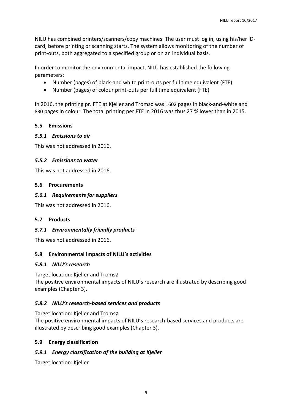NILU has combined printers/scanners/copy machines. The user must log in, using his/her IDcard, before printing or scanning starts. The system allows monitoring of the number of print-outs, both aggregated to a specified group or on an individual basis.

In order to monitor the environmental impact, NILU has established the following parameters:

- Number (pages) of black-and white print-outs per full time equivalent (FTE)
- Number (pages) of colour print-outs per full time equivalent (FTE)

In 2016, the printing pr. FTE at Kjeller and Tromsø was 1602 pages in black-and-white and 830 pages in colour. The total printing per FTE in 2016 was thus 27 % lower than in 2015.

#### <span id="page-9-0"></span>**5.5 Emissions**

#### <span id="page-9-1"></span>*5.5.1 Emissions to air*

This was not addressed in 2016.

#### <span id="page-9-2"></span>*5.5.2 Emissions to water*

This was not addressed in 2016.

#### <span id="page-9-3"></span>**5.6 Procurements**

#### <span id="page-9-4"></span>*5.6.1 Requirements for suppliers*

This was not addressed in 2016.

#### <span id="page-9-5"></span>**5.7 Products**

#### <span id="page-9-6"></span>*5.7.1 Environmentally friendly products*

This was not addressed in 2016.

#### <span id="page-9-7"></span>**5.8 Environmental impacts of NILU's activities**

#### <span id="page-9-8"></span>*5.8.1 NILU's research*

Target location: Kjeller and Tromsø

The positive environmental impacts of NILU's research are illustrated by describing good examples (Chapter 3).

#### <span id="page-9-9"></span>*5.8.2 NILU's research-based services and products*

Target location: Kjeller and Tromsø

The positive environmental impacts of NILU's research-based services and products are illustrated by describing good examples (Chapter 3).

#### <span id="page-9-10"></span>**5.9 Energy classification**

#### <span id="page-9-11"></span>*5.9.1 Energy classification of the building at Kjeller*

Target location: Kjeller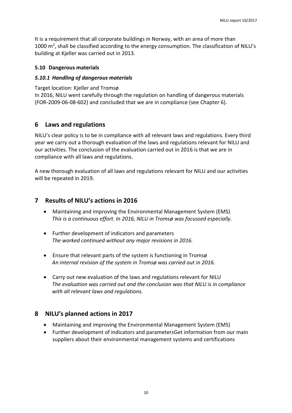It is a requirement that all corporate buildings in Norway, with an area of more than 1000  $\text{m}^2$ , shall be classified according to the energy consumption. The classification of NILU's building at Kjeller was carried out in 2013.

#### <span id="page-10-0"></span>**5.10 Dangerous materials**

#### <span id="page-10-1"></span>*5.10.1 Handling of dangerous materials*

Target location: Kjeller and Tromsø In 2016, NILU went carefully through the regulation on handling of dangerous materials (FOR-2009-06-08-602) and concluded that we are in compliance (see Chapter 6).

#### <span id="page-10-2"></span>**6 Laws and regulations**

NILU's clear policy is to be in compliance with all relevant laws and regulations. Every third year we carry out a thorough evaluation of the laws and regulations relevant for NILU and our activities. The conclusion of the evaluation carried out in 2016 is that we are in compliance with all laws and regulations.

A new thorough evaluation of all laws and regulations relevant for NILU and our activities will be repeated in 2019.

#### <span id="page-10-3"></span>**7 Results of NILU's actions in 2016**

- Maintaining and improving the Environmental Management System (EMS) *This is a continuous effort. In 2016, NILU in Tromsø was focussed especially.*
- Further development of indicators and parameters *The worked continued without any major revisions in 2016.*
- Ensure that relevant parts of the system is functioning in Tromsø *An internal revision of the system in Tromsø was carried out in 2016.*
- Carry out new evaluation of the laws and regulations relevant for NILU *The evaluation was carried out and the conclusion was that NILU is in compliance with all relevant laws and regulations.*

#### <span id="page-10-4"></span>**8 NILU's planned actions in 2017**

- Maintaining and improving the Environmental Management System (EMS)
- Further development of indicators and parametersGet information from our main suppliers about their environmental management systems and certifications